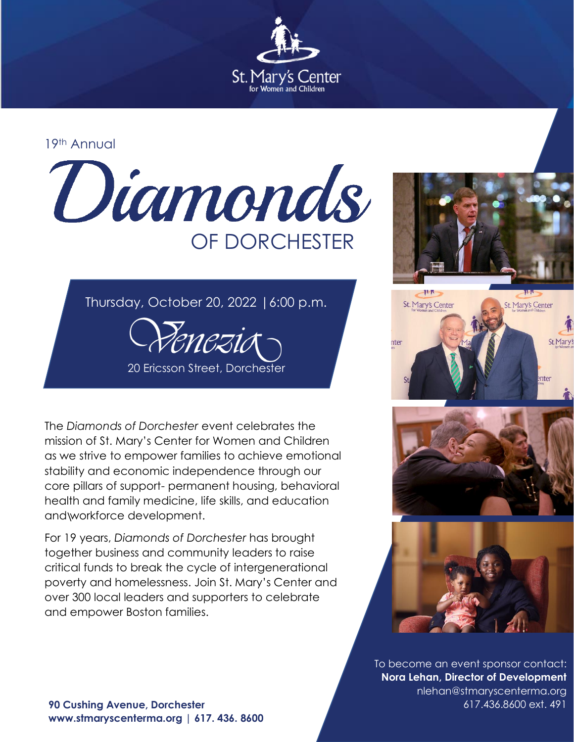

19th Annual



Thursday, October 20, 2022 | 6:00 p.m.

-Penezio

20 Ericsson Street, Dorchester

and workforce development. The *Diamonds of Dorchester* event celebrates the mission of St. Mary's Center for Women and Children as we strive to empower families to achieve emotional stability and economic independence through our core pillars of support- permanent housing, behavioral health and family medicine, life skills, and education

For 19 years, *Diamonds of Dorchester* has brought together business and community leaders to raise critical funds to break the cycle of intergenerational poverty and homelessness. Join St. Mary's Center and over 300 local leaders and supporters to celebrate and empower Boston families.









To become an event sponsor contact: **Nora Lehan, Director of Development** nlehan@stmaryscenterma.org

**90 Cushing Avenue, Dorchester** 617.436.8600 ext. 491 **www.stmaryscenterma.org | 617. 436. 8600**